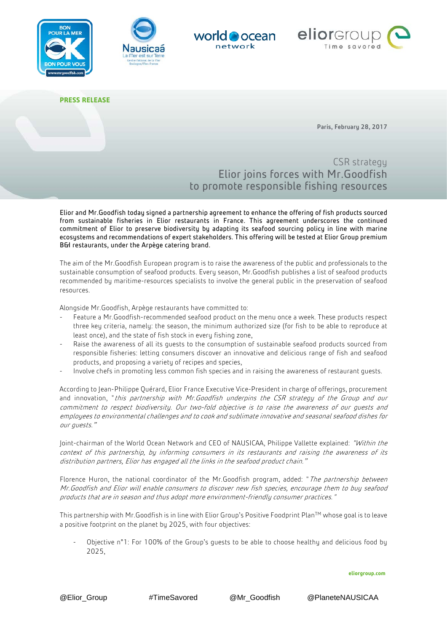







**PRESS RELEASE**

Paris, February 28, 2017

CSR strategy Elior joins forces with Mr.Goodfish to promote responsible fishing resources

Elior and Mr.Goodfish today signed a partnership agreement to enhance the offering of fish products sourced from sustainable fisheries in Elior restaurants in France. This agreement underscores the continued commitment of Elior to preserve biodiversity by adapting its seafood sourcing policy in line with marine ecosystems and recommendations of expert stakeholders. This offering will be tested at Elior Group premium B&I restaurants, under the Arpège catering brand.

The aim of the Mr.Goodfish European program is to raise the awareness of the public and professionals to the sustainable consumption of seafood products. Every season, Mr.Goodfish publishes a list of seafood products recommended by maritime-resources specialists to involve the general public in the preservation of seafood resources.

Alongside Mr.Goodfish, Arpège restaurants have committed to:

- Feature a Mr.Goodfish-recommended seafood product on the menu once a week. These products respect three key criteria, namely: the season, the minimum authorized size (for fish to be able to reproduce at least once), and the state of fish stock in every fishing zone,
- Raise the awareness of all its guests to the consumption of sustainable seafood products sourced from responsible fisheries: letting consumers discover an innovative and delicious range of fish and seafood products, and proposing a variety of recipes and species,
- Involve chefs in promoting less common fish species and in raising the awareness of restaurant quests.

According to Jean-Philippe Quérard, Elior France Executive Vice-President in charge of offerings, procurement and innovation, "this partnership with Mr. Goodfish underpins the CSR strategy of the Group and our commitment to respect biodiversity. Our two-fold objective is to raise the awareness of our guests and employees to environmental challenges and to cook and sublimate innovative and seasonal seafood dishes for our guests."

Joint-chairman of the World Ocean Network and CEO of NAUSICAA, Philippe Vallette explained: "Within the context of this partnership, by informing consumers in its restaurants and raising the awareness of its distribution partners, Elior has engaged all the links in the seafood product chain."

Florence Huron, the national coordinator of the Mr.Goodfish program, added: "The partnership between Mr.Goodfish and Elior will enable consumers to discover new fish species, encourage them to buy seafood products that are in season and thus adopt more environment-friendly consumer practices."

This partnership with Mr.Goodfish is in line with Elior Group's Positive Foodprint Plan™ whose goal is to leave a positive footprint on the planet by 2025, with four objectives:

Objective n°1: For 100% of the Group's quests to be able to choose healthy and delicious food by 2025,

**eliorgroup.com**

@Elior\_Group #TimeSavored @Mr\_Goodfish @PlaneteNAUSICAA